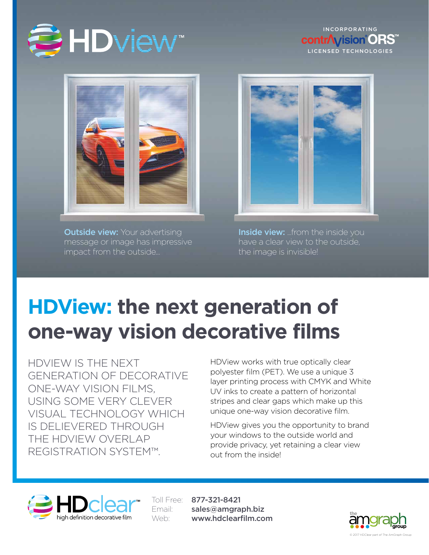

**INCORPORATING contr***Avision*<sup><sup>ORS</sup></sup> LICENSED TECHNOLOGIES



**Outside view:** Your advertising message or image has impressive impact from the outside...



**Inside view:** ...from the inside you have a clear view to the outside, the image is invisible!

# **HDView: the next generation of one-way vision decorative films**

HDVIEW IS THE NEXT GENERATION OF DECORATIVE ONE-WAY VISION FILMS, USING SOME VERY CLEVER VISUAL TECHNOLOGY WHICH IS DELIEVERED THROUGH THE HDVIEW OVERLAP REGISTRATION SYSTEM™.

HDView works with true optically clear polyester film (PET). We use a unique 3 layer printing process with CMYK and White UV inks to create a pattern of horizontal stripes and clear gaps which make up this unique one-way vision decorative film.

HDView gives you the opportunity to brand your windows to the outside world and provide privacy, yet retaining a clear view out from the inside!



Toll Free: 877-321-8421 Email: sales@amgraph.biz Web: www.hdclearfilm.com